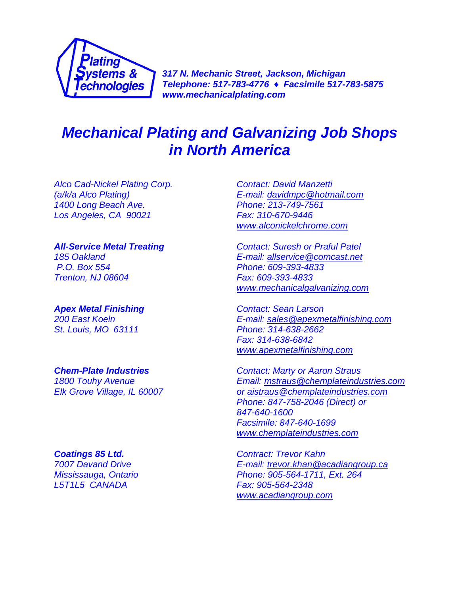

*317 N. Mechanic Street, Jackson, Michigan Telephone: 517-783-4776 ♦ Facsimile 517-783-5875 www.mechanicalplating.com*

# *Mechanical Plating and Galvanizing Job Shops in North America*

*Alco Cad-Nickel Plating Corp. Contact: David Manzetti 1400 Long Beach Ave. Phone: 213-749-7561 Los Angeles, CA 90021 Fax: 310-670-9446*

*Apex Metal Finishing Contact: Sean Larson St. Louis, MO 63111 Phone: 314-638-2662*

*L5T1L5 CANADA Fax: 905-564-2348*

*(a/k/a Alco Plating) E-mail: [davidmpc@hotmail.com](mailto:davidmpc@hotmail.com) [www.alconickelchrome.com](http://www.alconickelchrome.com/)*

*All-Service Metal Treating Contact: Suresh or Praful Patel 185 Oakland E-mail: [allservice@comcast.net](mailto:allservice@comcast.net) P.O. Box 554 Phone: 609-393-4833 Trenton, NJ 08604 Fax: 609-393-4833 [www.mechanicalgalvanizing.com](file:///E:/Local%20Settings/Temporary%20Internet%20Files/Content.Outlook/PFOOYUWB/www.mechanicalgalvanizing.com)*

*200 East Koeln E-mail: [sales@apexmetalfinishing.com](mailto:sales@apexmetalfinishing.com) Fax: 314-638-6842 [www.apexmetalfinishing.com](http://www.apexmetalfinishing.com/)*

*Chem-Plate Industries Contact: Marty or Aaron Straus 1800 Touhy Avenue Email: [mstraus@chemplateindustries.com](mailto:mstraus@chemplateindustries.com) Elk Grove Village, IL 60007 or [aistraus@chemplateindustries.com](mailto:aistraus@chemplateindustries.com) Phone: 847-758-2046 (Direct) or 847-640-1600 Facsimile: 847-640-1699 [www.chemplateindustries.com](http://www.chemplateindustries.com/)*

*Coatings 85 Ltd. Contract: Trevor Kahn 7007 Davand Drive E-mail: [trevor.khan@acadiangroup.ca](mailto:trevor.khan@acadiangroup.ca) Mississauga, Ontario Phone: 905-564-1711, Ext. 264 [www.acadiangroup.com](http://www.acadiangroup.com/)*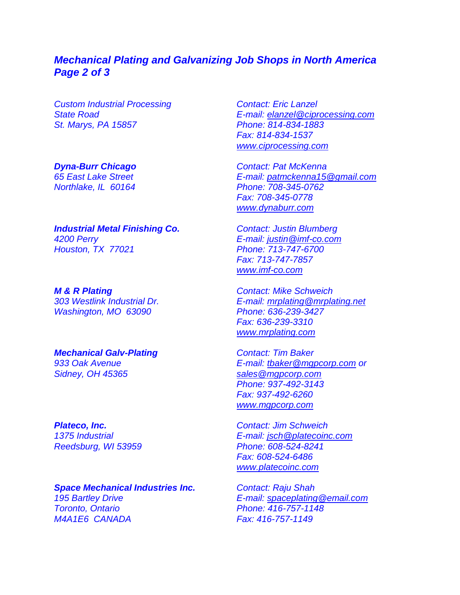### *Mechanical Plating and Galvanizing Job Shops in North America Page 2 of 3*

*Custom Industrial Processing Contact: Eric Lanzel St. Marys, PA 15857 Phone: 814-834-1883*

*Dyna-Burr Chicago Contact: Pat McKenna*

*Industrial Metal Finishing Co. Contact: Justin Blumberg 4200 Perry E-mail: [justin@imf-co.com](mailto:justin@imf-co.com) Houston, TX 77021 Phone: 713-747-6700*

*M & R Plating Contact: Mike Schweich Washington, MO 63090* 

*Mechanical Galv-Plating Contact: Tim Baker Sidney, OH 45365 [sales@mgpcorp.com](mailto:sales@mgpcorp.com)*

*Space Mechanical Industries Inc. Contact: Raju Shah 195 Bartley Drive E-mail: [spaceplating@email.com](mailto:spaceplating@email.com) Toronto, Ontario Phone: 416-757-1148 M4A1E6 CANADA Fax: 416-757-1149*

*State Road E-mail: [elanzel@ciprocessing.com](mailto:elanzel@ciprocessing.com) Fax: 814-834-1537 [www.ciprocessing.com](file:///E:/Local%20Settings/Temporary%20Internet%20Files/Content.Outlook/PFOOYUWB/www.ciprocessing.com)*

*65 East Lake Street E-mail: [patmckenna15@gmail.com](mailto:patmckenna15@gmail.com) Northlake, IL 60164 Phone: 708-345-0762 Fax: 708-345-0778 [www.dynaburr.com](http://www.dynaburr.com/)*

> *Fax: 713-747-7857 [www.imf-co.com](file:///E:/Local%20Settings/Temporary%20Internet%20Files/Content.Outlook/PFOOYUWB/www.imf-co.com)*

*303 Westlink Industrial Dr. E-mail: [mrplating@mrplating.net](mailto:mrplating@mrplating.net) Fax: 636-239-3310 [www.mrplating.com](http://www.mrplating.com/)*

*933 Oak Avenue E-mail: [tbaker@mgpcorp.com](mailto:tbaker@mgpcorp.com) or Phone: 937-492-3143 Fax: 937-492-6260 [www.mgpcorp.com](http://www.mgpcorp.com/)*

*Plateco, Inc. Contact: Jim Schweich 1375 Industrial E-mail: [jsch@platecoinc.com](mailto:jsch@platecoinc.com) Reedsburg, WI 53959 Phone: 608-524-8241 Fax: 608-524-6486 [www.platecoinc.com](http://www.platecoinc.com/)*